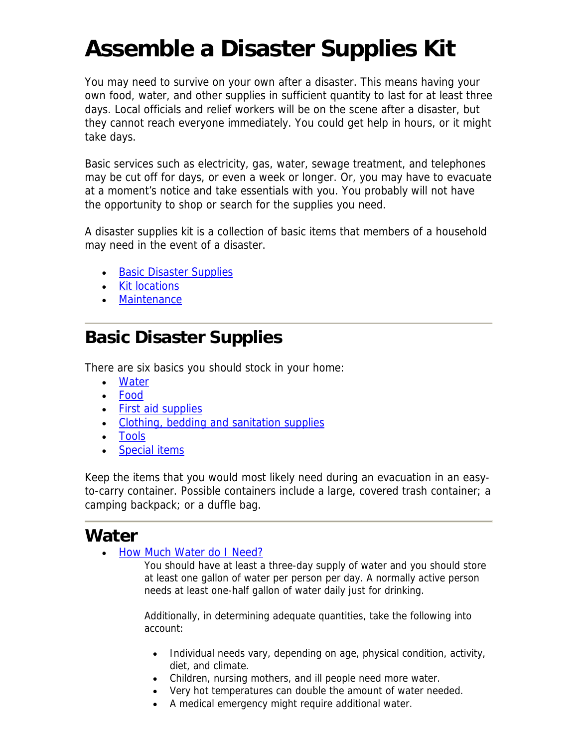# **Assemble a Disaster Supplies Kit**

You may need to survive on your own after a disaster. This means having your own food, water, and other supplies in sufficient quantity to last for at least three days. Local officials and relief workers will be on the scene after a disaster, but they cannot reach everyone immediately. You could get help in hours, or it might take days.

Basic services such as electricity, gas, water, sewage treatment, and telephones may be cut off for days, or even a week or longer. Or, you may have to evacuate at a moment's notice and take essentials with you. You probably will not have the opportunity to shop or search for the supplies you need.

A disaster supplies kit is a collection of basic items that members of a household may need in the event of a disaster.

- [Basic Disaster Supplies](http://www.fema.gov/plan/prepare/basickit.shtm)
- [Kit locations](http://www.fema.gov/plan/prepare/kitlocation.shtm)
- [Maintenance](http://www.fema.gov/plan/prepare/kitmaintain.shtm)

# **Basic Disaster Supplies**

There are six basics you should stock in your home:

- [Water](http://www.fema.gov/plan/prepare/water.shtm)
- [Food](http://www.fema.gov/plan/prepare/food.shtm)
- [First aid supplies](http://www.fema.gov/plan/prepare/firstaid.shtm)
- [Clothing, bedding and sanitation supplies](http://www.fema.gov/plan/prepare/clothing.shtm)
- [Tools](http://www.fema.gov/plan/prepare/tools.shtm)
- [Special items](http://www.fema.gov/plan/prepare/specialkit.shtm)

Keep the items that you would most likely need during an evacuation in an easyto-carry container. Possible containers include a large, covered trash container; a camping backpack; or a duffle bag.

### **Water**

• [How Much Water do I Need?](http://www.fema.gov/plan/prepare/water.shtm#0#0) 

You should have at least a three-day supply of water and you should store at least one gallon of water per person per day. A normally active person needs at least one-half gallon of water daily just for drinking.

Additionally, in determining adequate quantities, take the following into account:

- Individual needs vary, depending on age, physical condition, activity, diet, and climate.
- Children, nursing mothers, and ill people need more water.
- Very hot temperatures can double the amount of water needed.
- A medical emergency might require additional water.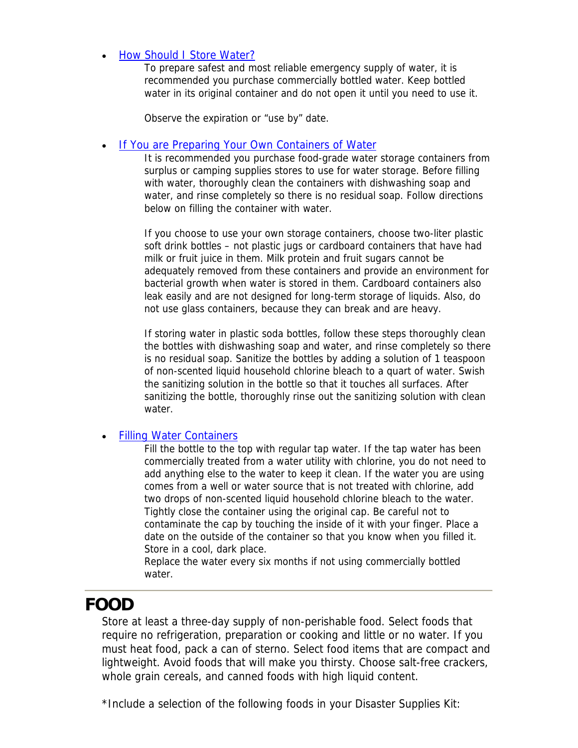### • [How Should I Store Water?](http://www.fema.gov/plan/prepare/water.shtm#1#1)

To prepare safest and most reliable emergency supply of water, it is recommended you purchase commercially bottled water. Keep bottled water in its original container and do not open it until you need to use it.

Observe the expiration or "use by" date.

#### **If You are Preparing Your Own Containers of Water**

It is recommended you purchase food-grade water storage containers from surplus or camping supplies stores to use for water storage. Before filling with water, thoroughly clean the containers with dishwashing soap and water, and rinse completely so there is no residual soap. Follow directions below on filling the container with water.

If you choose to use your own storage containers, choose two-liter plastic soft drink bottles – not plastic jugs or cardboard containers that have had milk or fruit juice in them. Milk protein and fruit sugars cannot be adequately removed from these containers and provide an environment for bacterial growth when water is stored in them. Cardboard containers also leak easily and are not designed for long-term storage of liquids. Also, do not use glass containers, because they can break and are heavy.

If storing water in plastic soda bottles, follow these steps thoroughly clean the bottles with dishwashing soap and water, and rinse completely so there is no residual soap. Sanitize the bottles by adding a solution of 1 teaspoon of non-scented liquid household chlorine bleach to a quart of water. Swish the sanitizing solution in the bottle so that it touches all surfaces. After sanitizing the bottle, thoroughly rinse out the sanitizing solution with clean water.

### • [Filling Water Containers](http://www.fema.gov/plan/prepare/water.shtm#3#3)

Fill the bottle to the top with regular tap water. If the tap water has been commercially treated from a water utility with chlorine, you do not need to add anything else to the water to keep it clean. If the water you are using comes from a well or water source that is not treated with chlorine, add two drops of non-scented liquid household chlorine bleach to the water. Tightly close the container using the original cap. Be careful not to contaminate the cap by touching the inside of it with your finger. Place a date on the outside of the container so that you know when you filled it. Store in a cool, dark place.

Replace the water every six months if not using commercially bottled water.

## **FOOD**

Store at least a three-day supply of non-perishable food. Select foods that require no refrigeration, preparation or cooking and little or no water. If you must heat food, pack a can of sterno. Select food items that are compact and lightweight. Avoid foods that will make you thirsty. Choose salt-free crackers, whole grain cereals, and canned foods with high liquid content.

\*Include a selection of the following foods in your Disaster Supplies Kit: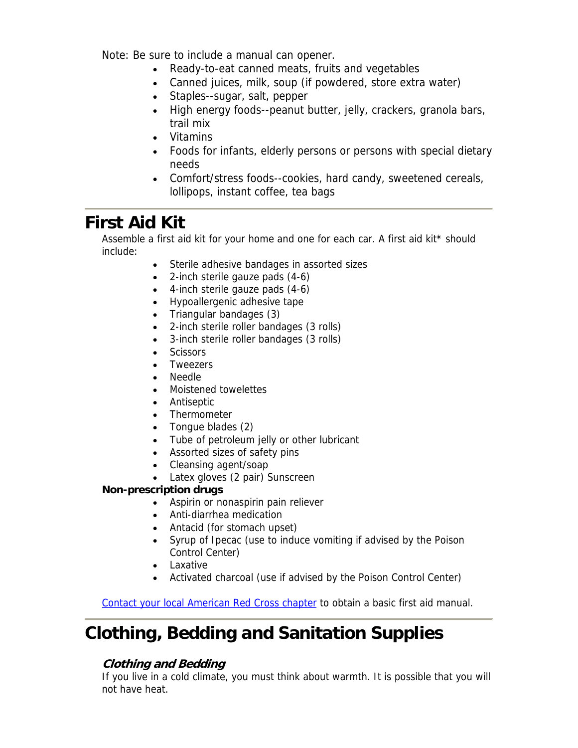Note: Be sure to include a manual can opener.

- Ready-to-eat canned meats, fruits and vegetables
- Canned juices, milk, soup (if powdered, store extra water)
- Staples--sugar, salt, pepper
- High energy foods--peanut butter, jelly, crackers, granola bars, trail mix
- Vitamins
- Foods for infants, elderly persons or persons with special dietary needs
- Comfort/stress foods--cookies, hard candy, sweetened cereals, lollipops, instant coffee, tea bags

## **First Aid Kit**

Assemble a first aid kit for your home and one for each car. A first aid kit\* should include:

- Sterile adhesive bandages in assorted sizes
- 2-inch sterile gauze pads (4-6)
- 4-inch sterile gauze pads (4-6)
- Hypoallergenic adhesive tape
- Triangular bandages (3)
- 2-inch sterile roller bandages (3 rolls)
- 3-inch sterile roller bandages (3 rolls)
- Scissors
- Tweezers
- Needle
- Moistened towelettes
- Antiseptic
- Thermometer
- Tongue blades (2)
- Tube of petroleum jelly or other lubricant
- Assorted sizes of safety pins
- Cleansing agent/soap
- Latex gloves (2 pair) Sunscreen

#### **Non-prescription drugs**

- Aspirin or nonaspirin pain reliever
- Anti-diarrhea medication
- Antacid (for stomach upset)
- Syrup of Ipecac (use to induce vomiting if advised by the Poison Control Center)
- Laxative
- Activated charcoal (use if advised by the Poison Control Center)

[Contact your local American Red Cross chapter](http://www.redcross.org/where/where.html) to obtain a basic first aid manual.

# **Clothing, Bedding and Sanitation Supplies**

### **Clothing and Bedding**

If you live in a cold climate, you must think about warmth. It is possible that you will not have heat.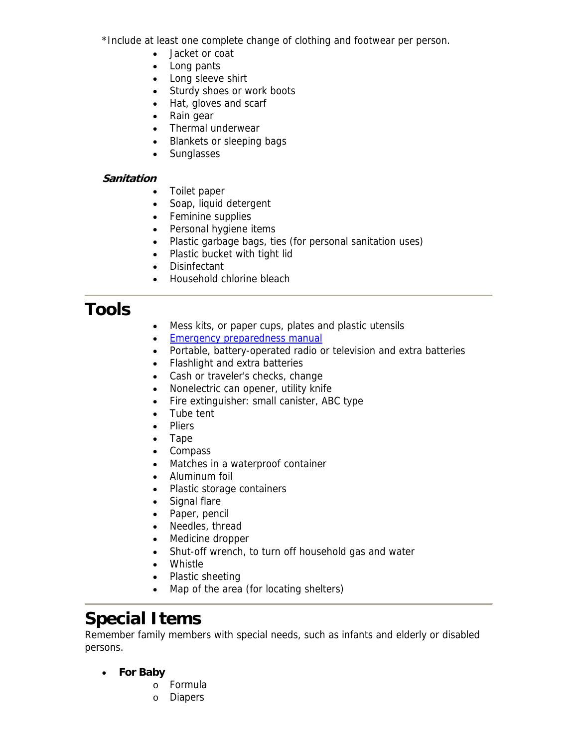\*Include at least one complete change of clothing and footwear per person.

- Jacket or coat
- Long pants
- Long sleeve shirt
- Sturdy shoes or work boots
- Hat, gloves and scarf
- Rain gear
- Thermal underwear
- Blankets or sleeping bags
- Sunglasses

#### **Sanitation**

- Toilet paper
- Soap, liquid detergent
- Feminine supplies
- Personal hygiene items
- Plastic garbage bags, ties (for personal sanitation uses)
- Plastic bucket with tight lid
- Disinfectant
- Household chlorine bleach

### **Tools**

- Mess kits, or paper cups, plates and plastic utensils
- [Emergency preparedness manual](http://www.fema.gov/areyouready/)
- Portable, battery-operated radio or television and extra batteries
- Flashlight and extra batteries
- Cash or traveler's checks, change
- Nonelectric can opener, utility knife
- Fire extinguisher: small canister, ABC type
- Tube tent
- Pliers
- Tape
- Compass
- Matches in a waterproof container
- Aluminum foil
- Plastic storage containers
- Signal flare
- Paper, pencil
- Needles, thread
- Medicine dropper
- Shut-off wrench, to turn off household gas and water
- Whistle
- Plastic sheeting
- Map of the area (for locating shelters)

## **Special Items**

Remember family members with special needs, such as infants and elderly or disabled persons.

- **For Baby**
	- o Formula
	- o Diapers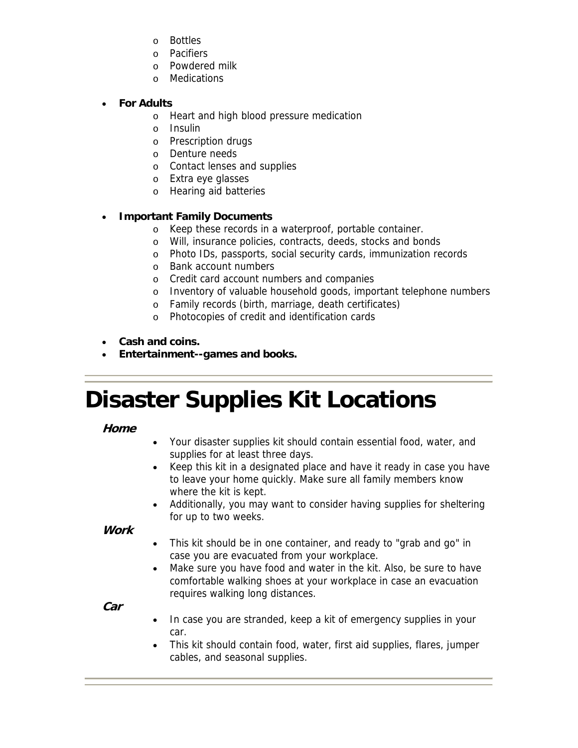- o Bottles
- o Pacifiers
- o Powdered milk
- o Medications

### • **For Adults**

- o Heart and high blood pressure medication
- o Insulin
- o Prescription drugs
- o Denture needs
- o Contact lenses and supplies
- o Extra eye glasses
- o Hearing aid batteries

### • **Important Family Documents**

- o Keep these records in a waterproof, portable container.
- o Will, insurance policies, contracts, deeds, stocks and bonds
- o Photo IDs, passports, social security cards, immunization records
- o Bank account numbers
- o Credit card account numbers and companies
- o Inventory of valuable household goods, important telephone numbers
- o Family records (birth, marriage, death certificates)
- o Photocopies of credit and identification cards
- **Cash and coins.**
- **Entertainment--games and books.**

# **Disaster Supplies Kit Locations**

### **Home**

- Your disaster supplies kit should contain essential food, water, and supplies for at least three days.
- Keep this kit in a designated place and have it ready in case you have to leave your home quickly. Make sure all family members know where the kit is kept.
- Additionally, you may want to consider having supplies for sheltering for up to two weeks.

**Work** 

- This kit should be in one container, and ready to "grab and go" in case you are evacuated from your workplace.
- Make sure you have food and water in the kit. Also, be sure to have comfortable walking shoes at your workplace in case an evacuation requires walking long distances.

**Car** 

- In case you are stranded, keep a kit of emergency supplies in your car.
- This kit should contain food, water, first aid supplies, flares, jumper cables, and seasonal supplies.